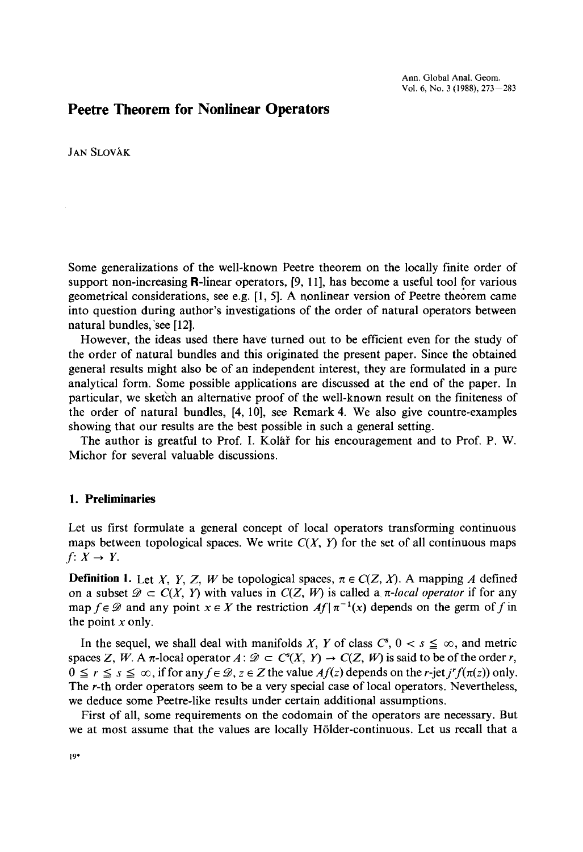# **Peetre Theorem for Nonlinear Operators**

JAN SLOVAK

Some generalizations of the well-known Peetre theorem on the locally finite order of support non-increasing  $\mathbf{R}\text{-linear operators}, [9, 11]$ , has become a useful tool for various geometrical considerations, see e.g. [1, 5]. A nonlinear version of Peetre theorem came into question during author's investigations of the order of natural operators between natural bundles,'see [12].

However, the ideas used there have turned out to be efficient even for the study of the order of natural bundles and this originated the present paper. Since the obtained general results might also be of an independent interest, they are formulated in a pure analytical form. Some possible applications are discussed at the end of the paper. In particular, we sketch an alternative proof of the well-known result on the finiteness of the order of natural bundles, [4, 10], see Remark 4. We also give countre-examples showing that our results are the best possible in such a general setting.

The author is greatful to Prof. I. Kolar for his encouragement and to Prof. P. W. Michor for several valuable discussions.

#### 1. **Preliminaries**

Let us first formulate a general concept of local operators transforming continuous maps between topological spaces. We write  $C(X, Y)$  for the set of all continuous maps  $f: X \rightarrow Y$ .

**Definition 1.** Let *X*, *Y*, *Z*, *W* be topological spaces,  $\pi \in C(Z, X)$ . A mapping *A* defined on a subset  $\mathscr{D} \subset C(X, Y)$  with values in  $C(Z, W)$  is called a *r-local operator* if for any map  $f \in \mathcal{D}$  and any point  $x \in X$  the restriction  $Af | \pi^{-1}(x)$  depends on the germ of f in the point  $x$  only.

In the sequel, we shall deal with manifolds X, Y of class  $C^s$ ,  $0 < s \leq \infty$ , and metric spaces *Z*, *W*. A  $\pi$ -local operator  $A: \mathcal{D} \subset C^{s}(X, Y) \to C(Z, W)$  is said to be of the order *r*,  $0 \le r \le s \le \infty$ , if for any  $f \in \mathcal{D}$ ,  $z \in \mathbb{Z}$  the value  $Af(z)$  depends on the *r*-jet *j'*  $f(\pi(z))$  only. The r-th order operators seem to be a very special case of local operators. Nevertheless, we deduce some Peetre-like results under certain additional assumptions.

First of all, some requirements on the codomain of the operators are necessary. But we at most assume that the values are locally Hölder-continuous. Let us recall that a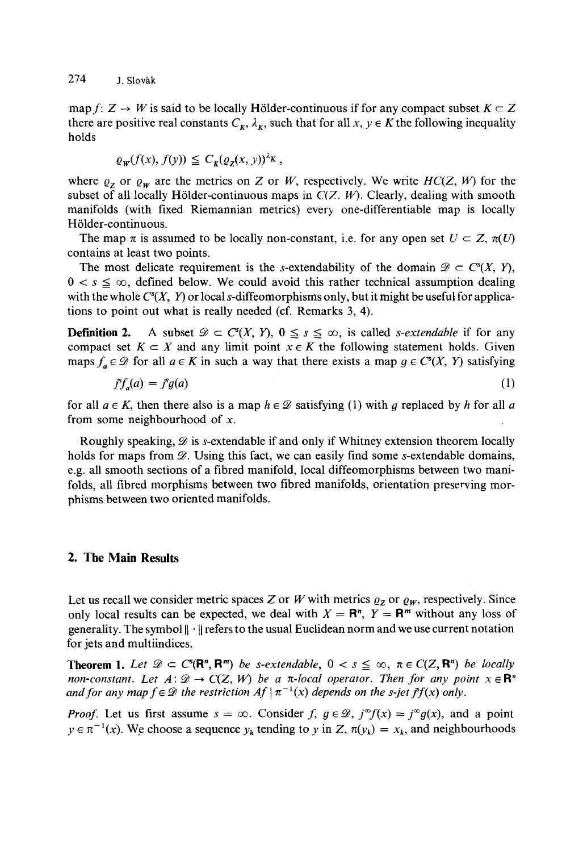map *f*:  $Z \rightarrow W$  is said to be locally Hölder-continuous if for any compact subset  $K \subset Z$ there are positive real constants  $C_K$ ,  $\lambda_K$ , such that for all  $x, y \in K$  the following inequality holds

$$
\varrho_{\mathbf{W}}(f(x), f(y)) \leq C_{\mathbf{K}}(\varrho_{\mathbf{Z}}(x, y))^{\lambda_{\mathbf{K}}},
$$

where  $\varrho_z$  or  $\varrho_w$  are the metrics on Z or W, respectively. We write  $HC(Z, W)$  for the subset of all locally Hölder-continuous maps in  $C(Z, W)$ . Clearly, dealing with smooth manifolds (with fixed Riemannian metrics) every one-differentiable map is locally H6lder-continuous.

The map  $\pi$  is assumed to be locally non-constant, i.e. for any open set  $U \subset Z$ ,  $\pi(U)$ contains at least two points.

The most delicate requirement is the s-extendability of the domain  $\mathscr{D} \subset C^{s}(X, Y),$  $0 < s \leq \infty$ , defined below. We could avoid this rather technical assumption dealing with the whole  $C<sup>s</sup>(X, Y)$  or local s-diffeomorphisms only, but it might be useful for applications to point out what is really needed (cf. Remarks 3, 4).

**Definition 2.** A subset  $\mathcal{D} \subset C^{s}(X, Y), 0 \leq s \leq \infty$ , is called *s-extendable* if for any compact set  $K \subset X$  and any limit point  $x \in K$  the following statement holds. Given maps  $f_a \in \mathcal{D}$  for all  $a \in K$  in such a way that there exists a map  $g \in C^{s}(X, Y)$  satisfying

$$
j^s f_a(a) = j^s g(a) \tag{1}
$$

for all  $a \in K$ , then there also is a map  $h \in \mathcal{D}$  satisfying (1) with g replaced by h for all a from some neighbourhood of *x.*

Roughly speaking,  $\mathcal{D}$  is s-extendable if and only if Whitney extension theorem locally holds for maps from  $\mathcal{D}$ . Using this fact, we can easily find some s-extendable domains, e.g. all smooth sections of a fibred manifold, local diffeomorphisms between two manifolds, all fibred morphisms between two fibred manifolds, orientation preserving morphisms between two oriented manifolds.

## **2. The Main Results**

Let us recall we consider metric spaces Z or *W* with metrics  $\varrho_z$  or  $\varrho_w$ , respectively. Since only local results can be expected, we deal with  $X = \mathbb{R}^n$ ,  $Y = \mathbb{R}^m$  without any loss of generality. The symbol  $\|\cdot\|$  refers to the usual Euclidean norm and we use current notation for jets and multiindices.

**Theorem 1.** Let  $\mathscr{D} \subset C^s(\mathbb{R}^n, \mathbb{R}^m)$  be s-extendable,  $0 < s \leq \infty$ ,  $\pi \in C(Z, \mathbb{R}^n)$  be locally *non-constant. Let*  $A: \mathcal{D} \to C(Z, W)$  be a  $\pi$ -local operator. Then for any point  $x \in \mathbb{R}^n$ *and for any map*  $f \in \mathcal{D}$  *the restriction*  $Af | \pi^{-1}(x)$  *depends on the s-jet*  $\tilde{f}(x)$  *only.* 

*Proof.* Let us first assume  $s = \infty$ . Consider  $f, g \in \mathcal{D}$ ,  $j^{\infty}f(x) = j^{\infty}g(x)$ , and a point  $y \in \pi^{-1}(x)$ . We choose a sequence  $y_k$  tending to *y* in *Z*,  $\pi(y_k) = x_k$ , and neighbourhoods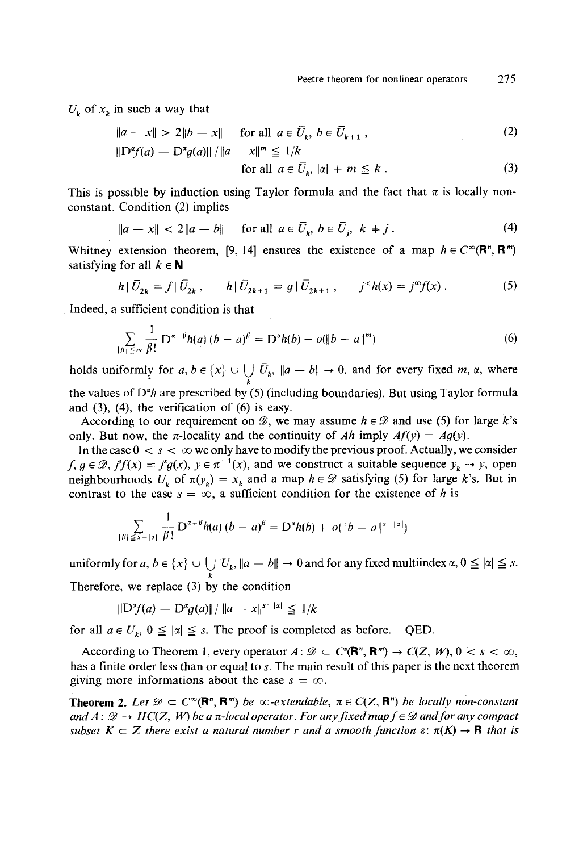$U_k$  of  $x_k$  in such a way that

$$
\|a - x\| > 2\|b - x\| \quad \text{for all } a \in \bar{U}_k, \ b \in \bar{U}_{k+1} \,,\tag{2}
$$

$$
\|\mathcal{D}^{\alpha}f(a) - \mathcal{D}^{\alpha}g(a)\| / \|a - x\|^m \leq 1/k
$$
  
for all  $a \in \bar{U}_k$ ,  $|\alpha| + m \leq k$ . (3)

This is possible by induction using Taylor formula and the fact that  $\pi$  is locally nonconstant. Condition (2) implies

$$
\|a - x\| < 2\|a - b\| \quad \text{for all } a \in \overline{U}_k, \ b \in \overline{U}_j, \ k \neq j \,. \tag{4}
$$

Whitney extension theorem, [9, 14] ensures the existence of a map  $h \in C^{\infty}(\mathbb{R}^n, \mathbb{R}^m)$ satisfying for all  $k \in \mathbb{N}$ 

$$
h \,|\, \bar{U}_{2k} = f \,|\, \bar{U}_{2k} \,, \qquad h \,|\, \bar{U}_{2k+1} = g \,|\, \bar{U}_{2k+1} \,, \qquad j^{\infty} h(x) = j^{\infty} f(x) \,. \tag{5}
$$

Indeed, a sufficient condition is that

$$
\sum_{\lvert \beta \rvert \leq m} \frac{1}{\beta!} \, \mathcal{D}^{\alpha+\beta} h(a) \, (b-a)^{\beta} = \mathcal{D}^{\alpha} h(b) + o(\lVert b-a \rVert^m) \tag{6}
$$

holds uniformly for  $a, b \in \{x\} \cup \bigcup_{k} \overline{U}_k$ ,  $\|a - b\| \to 0$ , and for every fixed  $m, \alpha$ , where the values of *D'h* are prescribed by (5) (including boundaries). But using Taylor formula and (3), (4), the verification of (6) is easy.

According to our requirement on  $\mathcal{D}$ , we may assume  $h \in \mathcal{D}$  and use (5) for large *k*'s only. But now, the  $\pi$ -locality and the continuity of *Ah* imply  $Af(y) = Ag(y)$ .

In the case  $0 < s < \infty$  we only have to modify the previous proof. Actually, we consider  $f, g \in \mathcal{D}, f'f(x) = f^s g(x), y \in \pi^{-1}(x)$ , and we construct a suitable sequence  $y_k \to y$ , open neighbourhoods  $U_k$  of  $\pi(V_k) = x_k$  and a map  $h \in \mathcal{D}$  satisfying (5) for large k's. But in contrast to the case  $s = \infty$ , a sufficient condition for the existence of *h* is

$$
\sum_{|\beta| \leq s - |x|} \frac{1}{\beta!} D^{\alpha + \beta} h(a) (b - a)^{\beta} = D^{\alpha} h(b) + o(\|b - a\|^{s - |x|})
$$

uniformly for  $a, b \in \{x\} \cup \bigcup \overline{U}_k$ ,  $\|a - b\| \to 0$  and for any fixed multiindex  $\alpha, 0 \leq |\alpha| \leq s$ . Therefore, we replace (3) by the condition

$$
\|\mathcal{D}^{\alpha}f(a) - \mathcal{D}^{\alpha}g(a)\| / \|a - x\|^{s - |x|} \leq 1/k
$$

for all  $a \in \overline{U}_k$ ,  $0 \leq |\alpha| \leq s$ . The proof is completed as before. QED.

According to Theorem 1, every operator  $A: \mathcal{D} \subset C^s(\mathbf{R}^n, \mathbf{R}^m) \to C(Z, W), 0 < s < \infty$ , has a finite order less than or equal to *s.* The main result of this paper is the next theorem giving more informations about the case  $s = \infty$ .

**Theorem 2.** Let  $\mathscr{D} \subset C^{\infty}(\mathbb{R}^n, \mathbb{R}^m)$  be  $\infty$ -extendable,  $\pi \in C(Z, \mathbb{R}^n)$  be locally non-constant and  $A: \mathcal{D} \to HC(Z, W)$  be a  $\pi$ -local operator. For any fixed map  $f \in \mathcal{D}$  and for any compact *subset*  $K \subset Z$  *there exist a natural number r and a smooth function*  $\varepsilon$ :  $\pi(K) \to \mathbf{R}$  *that is*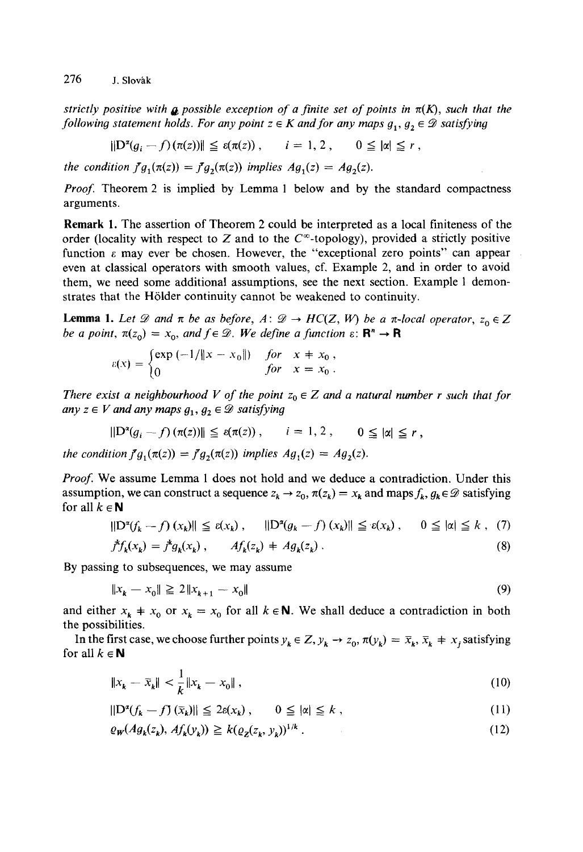strictly positive with **a** possible exception of a finite set of points in  $\pi(K)$ , such that the *following statement holds. For any point*  $z \in K$  *and for any maps*  $g_1, g_2 \in \mathcal{D}$  *satisfying* 

$$
\|\mathcal{D}^{\alpha}(g_i - f)(\pi(z))\| \leq \varepsilon(\pi(z)), \qquad i = 1, 2, \qquad 0 \leq |\alpha| \leq r,
$$

*the condition*  $\bar{f}g_1(\pi(z)) = \bar{f}g_2(\pi(z))$  *implies*  $Ag_1(z) = Ag_2(z)$ *.* 

*Proof.* Theorem 2 is implied by Lemma 1 below and by the standard compactness arguments.

**Remark 1.** The assertion of Theorem 2 could be interpreted as a local finiteness of the order (locality with respect to  $Z$  and to the  $C^{\infty}$ -topology), provided a strictly positive function  $\varepsilon$  may ever be chosen. However, the "exceptional zero points" can appear even at classical operators with smooth values, cf. Example 2, and in order to avoid them, we need some additional assumptions, see the next section. Example 1 demonstrates that the Hölder continuity cannot be weakened to continuity.

**Lemma 1.** Let  $\mathscr D$  and  $\pi$  be as before, A:  $\mathscr D \to HC(Z, W)$  be a  $\pi$ -local operator,  $z_0 \in Z$ *be a point,*  $\pi(z_0) = x_0$ *, and*  $f \in \mathcal{D}$ *. We define a function*  $\varepsilon$ *:*  $\mathbb{R}^n \to \mathbb{R}$ 

$$
\varepsilon(x) = \begin{cases} \exp(-1/\|x - x_0\|) & \text{for} \quad x \neq x_0, \\ 0 & \text{for} \quad x = x_0. \end{cases}
$$

*There exist a neighbourhood V of the point*  $z_0 \in Z$  *and a natural number r such that for any*  $z \in V$  *and any maps*  $g_1, g_2 \in \mathcal{D}$  *satisfying* 

$$
\|\mathcal{D}^{\alpha}(g_i - f) (\pi(z))\| \leq \varepsilon(\pi(z)), \qquad i = 1, 2, \qquad 0 \leq |\alpha| \leq r,
$$

*the condition*  $f g_1(\pi(z)) = f g_2(\pi(z))$  *implies*  $Ag_1(z) = Ag_2(z)$ *.* 

*Proof.* We assume Lemma 1 does not hold and we deduce a contradiction. Under this assumption, we can construct a sequence  $z_k \to z_0$ ,  $\pi(z_k) = x_k$  and maps  $f_k$ ,  $g_k \in \mathscr{D}$  satisfying for all  $k \in \mathbb{N}$ 

$$
\|\mathcal{D}^{\alpha}(f_k - f)(x_k)\| \le \varepsilon(x_k), \quad \|\mathcal{D}^{\alpha}(g_k - f)(x_k)\| \le \varepsilon(x_k), \quad 0 \le |\alpha| \le k, \tag{7}
$$
  

$$
f^k f_k(x_k) = f^k g_k(x_k), \qquad Af_k(z_k) + Ag_k(z_k).
$$

By passing to subsequences, we may assume

$$
||x_k - x_0|| \ge 2||x_{k+1} - x_0|| \tag{9}
$$

and either  $x_k + x_0$  or  $x_k = x_0$  for all  $k \in \mathbb{N}$ . We shall deduce a contradiction in both the possibilities.

In the first case, we choose further points  $y_k \in Z$ ,  $y_k \to z_0$ ,  $\pi(y_k) = \overline{x}_k$ ,  $\overline{x}_k + x_j$  satisfying for all  $k \in \mathbb{N}$ 

$$
\|x_k - \bar{x}_k\| < \frac{1}{k} \|x_k - x_0\| \,,\tag{10}
$$

$$
\|\mathcal{D}^{\alpha}(f_k - f)(\bar{x}_k)\| \le 2\varepsilon(x_k), \qquad 0 \le |\alpha| \le k , \tag{11}
$$

$$
\varrho_{\mathbf{w}}(Ag_k(z_k), Af_k(y_k)) \geq k(\varrho_{\mathbf{z}}(z_k, y_k))^{1/k} \tag{12}
$$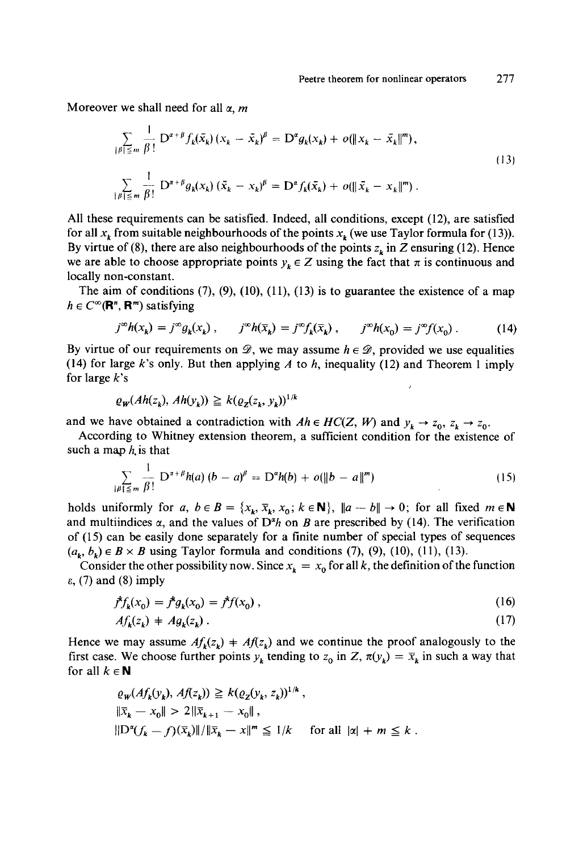Moreover we shall need for all  $\alpha$ , *m* 

$$
\sum_{\|\beta\| \le m} \frac{1}{\beta!} D^{\alpha+\beta} f_k(\bar{x}_k) (x_k - \bar{x}_k)^\beta = D^\alpha g_k(x_k) + o(\|x_k - \bar{x}_k\|^m),
$$
  

$$
\sum_{\|\beta\| \le m} \frac{1}{\beta!} D^{\alpha+\beta} g_k(x_k) (\bar{x}_k - x_k)^\beta = D^\alpha f_k(\bar{x}_k) + o(\|\bar{x}_k - x_k\|^m).
$$
 (13)

All these requirements can be satisfied. Indeed, all conditions, except (12), are satisfied for all  $x_k$  from suitable neighbourhoods of the points  $x_k$  (we use Taylor formula for (13)). By virtue of (8), there are also neighbourhoods of the points  $z<sub>k</sub>$  in Z ensuring (12). Hence we are able to choose appropriate points  $y_k \in Z$  using the fact that  $\pi$  is continuous and locally non-constant.

The aim of conditions  $(7)$ ,  $(9)$ ,  $(10)$ ,  $(11)$ ,  $(13)$  is to guarantee the existence of a map  $h \in C^{\infty}(\mathbf{R}^n, \mathbf{R}^m)$  satisfying

$$
j^{\infty}h(x_k) = j^{\infty}g_k(x_k), \qquad j^{\infty}h(\overline{x}_k) = j^{\infty}f_k(\overline{x}_k), \qquad j^{\infty}h(x_0) = j^{\infty}f(x_0).
$$
 (14)

By virtue of our requirements on  $\mathscr{D}$ , we may assume  $h \in \mathscr{D}$ , provided we use equalities (14) for large *k's* only. But then applying *A* to *h,* inequality (12) and Theorem 1 imply for large *k's*

$$
\varrho_{\mathbf{w}}(Ah(z_k), Ah(y_k)) \geq k(\varrho_{\mathbf{z}}(z_k, y_k))^{1/k}
$$

and we have obtained a contradiction with  $Ah \in HC(Z, W)$  and  $y_k \to z_0, z_k \to z_0$ .

According to Whitney extension theorem, a sufficient condition for the existence of such a map *h.* is that

$$
\sum_{|\beta| \leq m} \frac{1}{\beta!} D^{\alpha+\beta} h(a) (b-a)^{\beta} = D^{\alpha} h(b) + o(\|b-a\|^m)
$$
 (15)

holds uniformly for *a*,  $b \in B = \{x_k, \overline{x}_k, x_0; k \in \mathbb{N}\}\$ ,  $\|a - b\| \to 0$ ; for all fixed  $m \in \mathbb{N}\$ and multiindices  $\alpha$ , and the values of  $D^{\alpha}h$  on *B* are prescribed by (14). The verification of (15) can be easily done separately for a finite number of special types of sequences  $(a_k, b_k) \in B \times B$  using Taylor formula and conditions (7), (9), (10), (11), (13).

Consider the other possibility now. Since  $x_k = x_0$  for all k, the definition of the function  $\varepsilon$ , (7) and (8) imply

$$
f^k f_k(x_0) = f^k g_k(x_0) = f^k f(x_0), \qquad (16)
$$

$$
Af_k(z_k) + Ag_k(z_k). \tag{17}
$$

Hence we may assume  $Af_k(z_k) + Af(z_k)$  and we continue the proof analogously to the first case. We choose further points  $y_k$  tending to  $z_0$  in Z,  $\pi(y_k) = \overline{x}_k$  in such a way that for all  $k \in \mathbb{N}$ 

$$
\varrho_{W}(Af_{k}(y_{k}), Af(z_{k})) \geq k(\varrho_{Z}(y_{k}, z_{k}))^{1/k},
$$
  

$$
\|\overline{x}_{k} - x_{0}\| > 2\|\overline{x}_{k+1} - x_{0}\|,
$$
  

$$
\|\mathcal{D}^{\alpha}(f_{k} - f)(\overline{x}_{k})\|/\|\overline{x}_{k} - x\|^{m} \leq 1/k \quad \text{for all } |\alpha| + m \leq k.
$$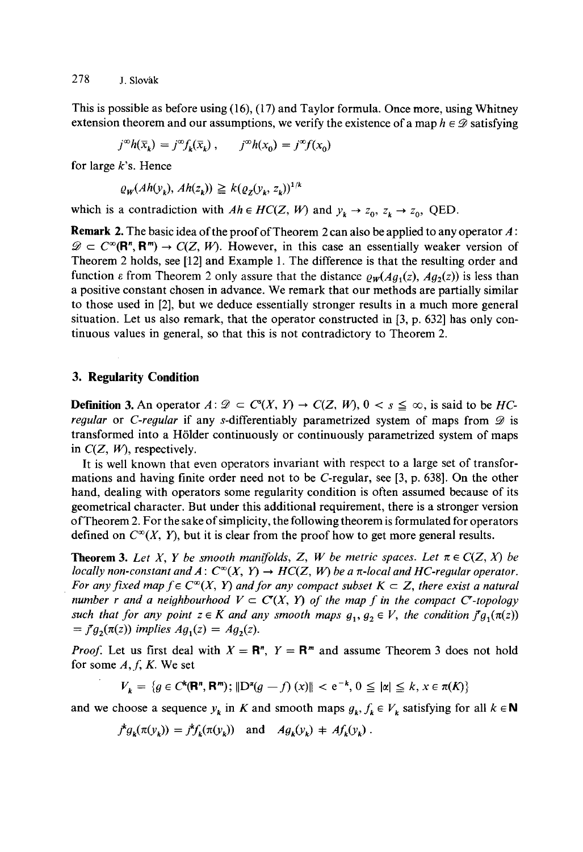278 J. Slovák

This is possible as before using (16), (17) and Taylor formula. Once more, using Whitney extension theorem and our assumptions, we verify the existence of a map  $h \in \mathscr{D}$  satisfying

$$
j^{\infty}h(\overline{x}_k) = j^{\infty}f_k(\overline{x}_k) , \qquad j^{\infty}h(x_0) = j^{\infty}f(x_0)
$$

for large *k's.* Hence

$$
\varrho_W(Ah(v_k), Ah(z_k)) \geq k(\varrho_Z(v_k, z_k))^{1/k}
$$

which is a contradiction with  $Ah \in HC(Z, W)$  and  $y_k \to z_0, z_k \to z_0$ , QED.

**Remark 2.** The basic idea of the proof of Theorem 2 can also be applied to any operator *A:*  $\mathscr{D} \subset C^{\infty}(\mathbf{R}^n, \mathbf{R}^m) \to C(Z, W)$ . However, in this case an essentially weaker version of Theorem 2 holds, see [12] and Example 1. The difference is that the resulting order and function  $\varepsilon$  from Theorem 2 only assure that the distance  $\rho_w(Aq_1(z), Aq_2(z))$  is less than a positive constant chosen in advance. We remark that our methods are partially similar to those used in [2], but we deduce essentially stronger results in a much more general situation. Let us also remark, that the operator constructed in [3, p. 632] has only continuous values in general, so that this is not contradictory to Theorem 2.

## **3. Regularity Condition**

**Definition 3.** An operator  $A: \mathcal{D} \subset C^{s}(X, Y) \to C(Z, W), 0 < s \leq \infty$ , is said to be *HCregular* or *C-regular* if any s-differentiably parametrized system of maps from  $\mathscr D$  is transformed into a H61lder continuously or continuously parametrized system of maps in *C(Z, W),* respectively.

It is well known that even operators invariant with respect to a large set of transformations and having finite order need not to be C-regular, see [3, p. 638]. On the other hand, dealing with operators some regularity condition is often assumed because of its geometrical character. But under this additional requirement, there is a stronger version of Theorem 2. For the sake of simplicity, the following theorem is formulated for operators defined on  $C^{\infty}(X, Y)$ , but it is clear from the proof how to get more general results.

**Theorem 3.** Let X, Y be smooth manifolds, Z, W be metric spaces. Let  $\pi \in C(Z, X)$  be *locally non-constant and A:*  $C^{\infty}(X, Y) \to HC(Z, W)$  *be a*  $\pi$ *-local and HC-regular operator. For any fixed map*  $f \in C^{\infty}(X, Y)$  *and for any compact subset*  $K \subset Z$ *, there exist a natural number r and a neighbourhood*  $V \subset C(X, Y)$  of the map f in the compact C<sup>-</sup>topology such that for any point  $z \in K$  and any smooth maps  $g_1, g_2 \in V$ , the condition  $\ddot{f}g_1(\pi(z))$  $=$   $J^{\dagger}g_2(\pi(z))$  implies  $Ag_1(z) = Ag_2(z)$ .

*Proof.* Let us first deal with  $X = \mathbb{R}^n$ ,  $Y = \mathbb{R}^m$  and assume Theorem 3 does not hold for some *A, f, K.* We set

$$
V_{k} = \{ g \in C^{k}(\mathbf{R}^{n}, \mathbf{R}^{m}); \|D^{n}(g - f)(x)\| < e^{-k}, 0 \leq |\alpha| \leq k, x \in \pi(K) \}
$$

and we choose a sequence  $y_k$  in *K* and smooth maps  $g_k$ ,  $f_k \in V_k$  satisfying for all  $k \in \mathbb{N}$ 

$$
j^k g_k(\pi(y_k)) = j^k f_k(\pi(y_k)) \text{ and } Ag_k(y_k) \neq Af_k(y_k).
$$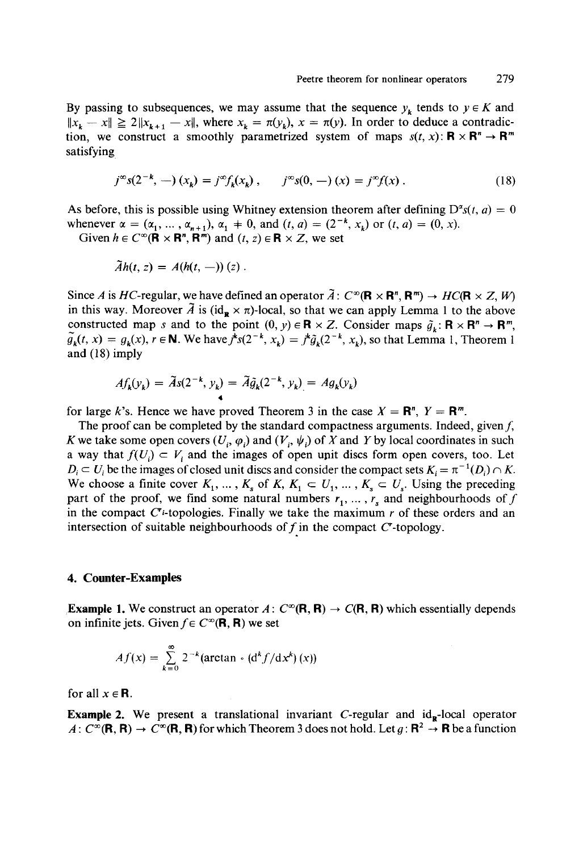By passing to subsequences, we may assume that the sequence  $y_k$  tends to  $y \in K$  and  $||x_k - x|| \ge 2||x_{k+1} - x||$ , where  $x_k = \pi(y_k)$ ,  $x = \pi(y)$ . In order to deduce a contradiction, we construct a smoothly parametrized system of maps  $s(t, x)$ :  $\mathbf{R} \times \mathbf{R}^n \to \mathbf{R}^m$ satisfying

$$
j^{\infty} s(2^{-k}, -) (x_k) = j^{\infty} f_k(x_k), \qquad j^{\infty} s(0, -) (x) = j^{\infty} f(x).
$$
 (18)

As before, this is possible using Whitney extension theorem after defining  $D^{\alpha}s(t, a) = 0$ whenever  $\alpha = (\alpha_1, \dots, \alpha_{n+1}), \alpha_1 \neq 0$ , and  $(t, a) = (2^{-k}, x_k)$  or  $(t, a) = (0, x)$ .

Given  $h \in C^{\infty}(\mathbf{R} \times \mathbf{R}^n, \mathbf{R}^m)$  and  $(t, z) \in \mathbf{R} \times Z$ , we set

$$
\tilde{A}h(t,z)=A(h(t,-))(z).
$$

Since *A* is *HC*-regular, we have defined an operator  $\tilde{A}: C^{\infty}(\mathbf{R} \times \mathbf{R}^n, \mathbf{R}^m) \to HC(\mathbf{R} \times Z, W)$ in this way. Moreover  $\tilde{A}$  is (id<sub>R</sub>  $\times \pi$ )-local, so that we can apply Lemma 1 to the above constructed map *s* and to the point  $(0, y) \in \mathbf{R} \times Z$ . Consider maps  $\tilde{g}_k : \mathbf{R} \times \mathbf{R}^n \to \mathbf{R}^m$ ,  $\tilde{g}_{\nu}(t, x) = g_{\nu}(x), r \in \mathbb{N}$ . We have  $j^k s(2^{-k}, x_k) = j^k \tilde{g}_{\nu}(2^{-k}, x_k)$ , so that Lemma 1, Theorem 1 and (18) imply

$$
Af_k(y_k) = \widetilde{A}s(2^{-k}, y_k) = \widetilde{A}\widetilde{g}_k(2^{-k}, y_k) = Ag_k(y_k)
$$

for large *k*'s. Hence we have proved Theorem 3 in the case  $X = \mathbb{R}^n$ ,  $Y = \mathbb{R}^m$ .

The proof can be completed by the standard compactness arguments. Indeed, given  $f$ , *K* we take some open covers  $(U_i, \varphi_i)$  and  $(V_i, \psi_i)$  of X and Y by local coordinates in such a way that  $f(U_i) \subset V_i$  and the images of open unit discs form open covers, too. Let  $D_i \subset U_i$  be the images of closed unit discs and consider the compact sets  $K_i = \pi^{-1}(D_i) \cap K$ . We choose a finite cover  $K_1, \ldots, K_s$  of  $K, K_1 \subset U_1, \ldots, K_s \subset U_s$ . Using the preceding part of the proof, we find some natural numbers  $r_1, \ldots, r_s$  and neighbourhoods of f in the compact  $C^{\prime}$ -topologies. Finally we take the maximum  $r$  of these orders and an intersection of suitable neighbourhoods of  $f$  in the compact  $C^*$ -topology.

#### **4. Counter-Examples**

**Example 1.** We construct an operator  $A: C^{\infty}(\mathbf{R}, \mathbf{R}) \to C(\mathbf{R}, \mathbf{R})$  which essentially depends on infinite jets. Given  $f \in C^{\infty}(\mathbf{R}, \mathbf{R})$  we set

$$
Af(x) = \sum_{k=0}^{\infty} 2^{-k} (\arctan \cdot (d^{k} f/dx^{k}) (x))
$$

for all  $x \in \mathbb{R}$ .

**Example 2.** We present a translational invariant C-regular and  $id_{\mathbf{R}}$ -local operator  $A: C^{\infty}(\mathbf{R}, \mathbf{R}) \to C^{\infty}(\mathbf{R}, \mathbf{R})$  for which Theorem 3 does not hold. Let  $g: \mathbf{R}^2 \to \mathbf{R}$  be a function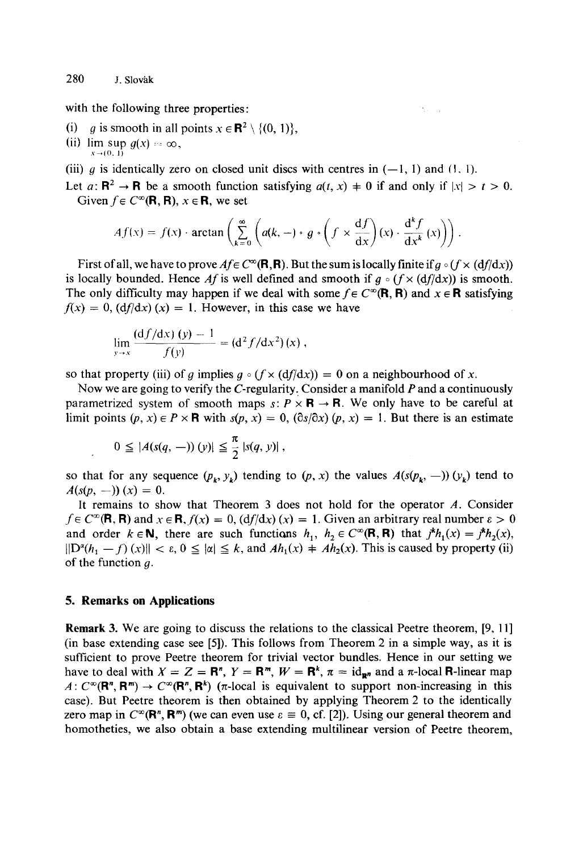with the following three properties:

- (i) g is smooth in all points  $x \in \mathbb{R}^2 \setminus \{0, 1\},\$
- (ii)  $\limsup g(x) = \infty$ ,  $x \rightarrow (0, 1)$
- (iii) g is identically zero on closed unit discs with centres in  $(-1, 1)$  and  $(1, 1)$ .
- Let  $a: \mathbb{R}^2 \to \mathbb{R}$  be a smooth function satisfying  $a(t, x) \neq 0$  if and only if  $|x| > t > 0$ . Given  $f \in C^{\infty}(\mathbf{R}, \mathbf{R})$ ,  $x \in \mathbf{R}$ , we set

Service.

$$
Af(x) = f(x) \cdot \arctan\left(\sum_{k=0}^{\infty} \left( a(k,-) \cdot g \cdot \left( f \times \frac{df}{dx} \right)(x) \cdot \frac{d^k f}{dx^k}(x) \right) \right)
$$

First of all, we have to prove  $A_f \in C^{\infty}(\mathbf{R}, \mathbf{R})$ . But the sum is locally finite if  $g \circ (f \times (df/dx))$ is locally bounded. Hence Af is well defined and smooth if  $g \circ (f \times (df/dx))$  is smooth. The only difficulty may happen if we deal with some  $f \in C^{\infty}(\mathbf{R}, \mathbf{R})$  and  $x \in \mathbf{R}$  satisfying  $f(x) = 0$ ,  $\left(\frac{df}{dx}\right)(x) = 1$ . However, in this case we have

$$
\lim_{y \to x} \frac{(df/dx)(y) - 1}{f(y)} = (d^2 f/dx^2)(x) ,
$$

so that property (iii) of q implies  $q \circ (f \times (df/dx)) = 0$  on a neighbourhood of x.

Now we are going to verify the C-regularity. Consider a manifold *P* and a continuously parametrized system of smooth maps  $s: P \times \mathbf{R} \to \mathbf{R}$ . We only have to be careful at limit points  $(p, x) \in P \times \mathbf{R}$  with  $s(p, x) = 0$ ,  $(\partial s/\partial x)(p, x) = 1$ . But there is an estimate

$$
0 \leq |A(s(q,-)) (y)| \leq \frac{\pi}{2} |s(q, y)|,
$$

so that for any sequence  $(p_k, y_k)$  tending to  $(p, x)$  the values  $A(s(p_k, -)) (y_k)$  tend to  $A(s(p, -)) (x) = 0.$ 

It remains to show that Theorem 3 does not hold for the operator *A.* Consider  $f \in C^{\infty}(\mathbf{R}, \mathbf{R})$  and  $x \in \mathbf{R}$ ,  $f(x) = 0$ ,  $\left(\frac{df}{dx}\right)(x) = 1$ . Given an arbitrary real number  $\varepsilon > 0$ and order  $k \in \mathbb{N}$ , there are such functions  $h_1, h_2 \in C^\infty(\mathbb{R}, \mathbb{R})$  that  $j^k h_1(x) = j^k h_2(x)$ ,  $\|D^2(h_1 - f)(x)\| < \varepsilon, 0 \le |x| \le k$ , and  $Ah_1(x) + Ah_2(x)$ . This is caused by property (ii) of the function  $g$ .

## **5. Remarks on Applications**

**Remark** 3. We are going to discuss the relations to the classical Peetre theorem, [9, 11] (in base extending case see [5]). This follows from Theorem 2 in a simple way, as it is sufficient to prove Peetre theorem for trivial vector bundles. Hence in our setting we have to deal with  $X = Z = \mathbb{R}^n$ ,  $Y = \mathbb{R}^m$ ,  $W = \mathbb{R}^k$ ,  $\pi = id_{\mathbb{R}^n}$  and a  $\pi$ -local **R**-linear map  $A: C^{\infty}(\mathbb{R}^n, \mathbb{R}^m) \to C^{\infty}(\mathbb{R}^n, \mathbb{R}^k)$  ( $\pi$ -local is equivalent to support non-increasing in this case). But Peetre theorem is then obtained by applying Theorem 2 to the identically zero map in  $C^{\infty}(\mathbf{R}^n, \mathbf{R}^m)$  (we can even use  $\varepsilon \equiv 0$ , cf. [2]). Using our general theorem and homotheties, we also obtain a base extending multilinear version of Peetre theorem,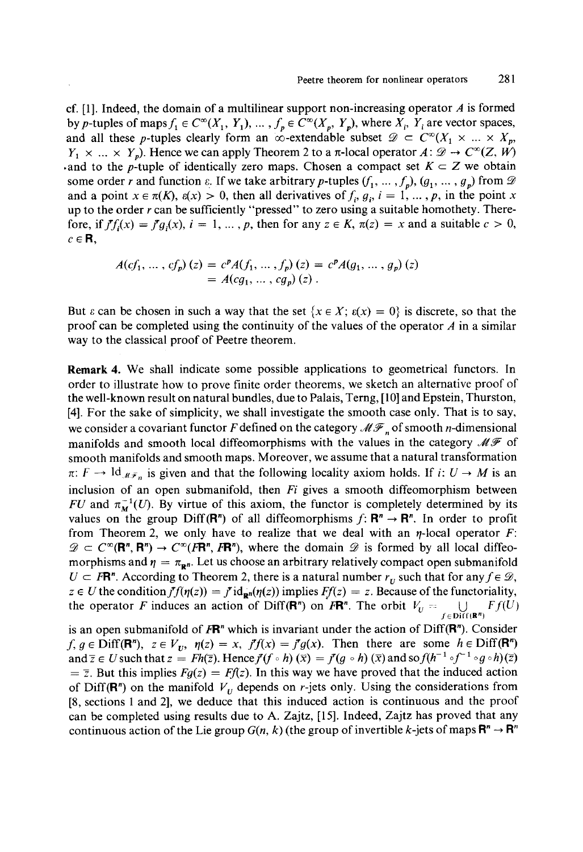cf. [1]. Indeed, the domain of a multilinear support non-increasing operator *A* is formed by p-tuples of maps  $f_1 \in C^{\infty}(X_1, Y_1), \ldots, f_p \in C^{\infty}(X_p, Y_p)$ , where  $X_i$ ,  $Y_i$  are vector spaces, and all these p-tuples clearly form an  $\infty$ -extendable subset  $\mathscr{D} \subset C^{\infty}(X_1 \times ... \times X_n)$  $Y_1 \times ... \times Y_n$ ). Hence we can apply Theorem 2 to a  $\pi$ -local operator  $A: \mathscr{D} \to C^\infty(Z, W)$ .and to the *p*-tuple of identically zero maps. Chosen a compact set  $K \subset Z$  we obtain some order *r* and function  $\varepsilon$ . If we take arbitrary *p*-tuples  $(f_1, ..., f_p), (g_1, ..., g_p)$  from  $\mathcal{D}$ and a point  $x \in \pi(K)$ ,  $\varepsilon(x) > 0$ , then all derivatives of  $f_i, g_i, i = 1, ..., p$ , in the point x up to the order *r* can be sufficiently "pressed" to zero using a suitable homothety. Therefore, if  $f f_i(x) = f g_i(x)$ ,  $i = 1, ..., p$ , then for any  $z \in K$ ,  $\pi(z) = x$  and a suitable  $c > 0$ ,  $c \in \mathbf{R}$ .

$$
A(cf_1, ..., cf_p) (z) = c^p A(f_1, ..., f_p) (z) = c^p A(g_1, ..., g_p) (z)
$$
  
=  $A(cg_1, ..., cg_p) (z)$ .

But  $\varepsilon$  can be chosen in such a way that the set  $\{x \in X : \varepsilon(x) = 0\}$  is discrete, so that the proof can be completed using the continuity of the values of the operator *A* in a similar way to the classical proof of Peetre theorem.

**Remark 4.** We shall indicate some possible applications to geometrical functors. In order to illustrate how to prove finite order theorems, we sketch an alternative proof of the well-known result on natural bundles, due to Palais, Terng, [10] and Epstein, Thurston, [4]. For the sake of simplicity, we shall investigate the smooth case only. That is to say, we consider a covariant functor F defined on the category  $\mathcal{MF}_n$  of smooth *n*-dimensional manifolds and smooth local diffeomorphisms with the values in the category  $\mathscr{MF}$  of smooth manifolds and smooth maps. Moreover, we assume that a natural transformation  $\pi: F \to \mathrm{Id}_{\mathcal{M}F_n}$  is given and that the following locality axiom holds. If *i*:  $U \to M$  is an inclusion of an open submanifold, then *Fi* gives a smooth diffeomorphism between *FU* and  $\pi_M^{-1}(U)$ . By virtue of this axiom, the functor is completely determined by its values on the group Diff( $\mathbb{R}^n$ ) of all diffeomorphisms  $f: \mathbb{R}^n \to \mathbb{R}^n$ . In order to profit from Theorem 2, we only have to realize that we deal with an  $\eta$ -local operator  $F$ :  $\mathscr{D} \subset C^{\infty}(\mathbb{R}^n, \mathbb{R}^n) \to C^{\infty}(\mathbb{R}^n, \mathbb{R}^n)$ , where the domain  $\mathscr{D}$  is formed by all local diffeomorphisms and  $\eta = \pi_{\mathbf{p}n}$ . Let us choose an arbitrary relatively compact open submanifold  $U \subset F\mathbb{R}^n$ . According to Theorem 2, there is a natural number  $r_{\nu}$  such that for any  $f \in \mathcal{D}$ ,  $z \in U$  the condition  $f f(\eta(z)) = f d_{\mathbf{p}n}(\eta(z))$  implies  $Ff(z) = z$ . Because of the functoriality, the operator *F* induces an action of Diff(R<sup>n</sup>) on *FR*<sup>n</sup>. The orbit  $V_U = \bigcup Ff(U)$  $\bigcup_{f \in \text{Diff}(\mathbb{R}^n)}$ 

is an open submanifold of  $F\mathbb{R}^n$  which is invariant under the action of Diff $(\mathbb{R}^n)$ . Consider  $f, g \in \text{Diff}(\mathbf{R}^n)$ ,  $z \in V_U$ ,  $\eta(z) = x$ ,  $f'(x) = f(g(x))$ . Then there are some  $h \in \text{Diff}(\mathbf{R}^n)$ and  $\overline{z} \in U$  such that  $z = Fh(\overline{z})$ . Hence  $f'(f \circ h)(\overline{x}) = f'(g \circ h)(\overline{x})$  and so  $f(h^{-1} \circ f^{-1} \circ g \circ h)(\overline{z})$  $=$   $\overline{z}$ . But this implies  $Fg(z) = Ff(z)$ . In this way we have proved that the induced action of Diff( $\mathbf{R}^n$ ) on the manifold  $V_{ij}$  depends on r-jets only. Using the considerations from [8, sections 1 and 2], we deduce that this induced action is continuous and the proof can be completed using results due to A. Zajtz, [15]. Indeed, Zajtz has proved that any continuous action of the Lie group  $G(n, k)$  (the group of invertible k-jets of maps  $\mathbb{R}^n \to \mathbb{R}^n$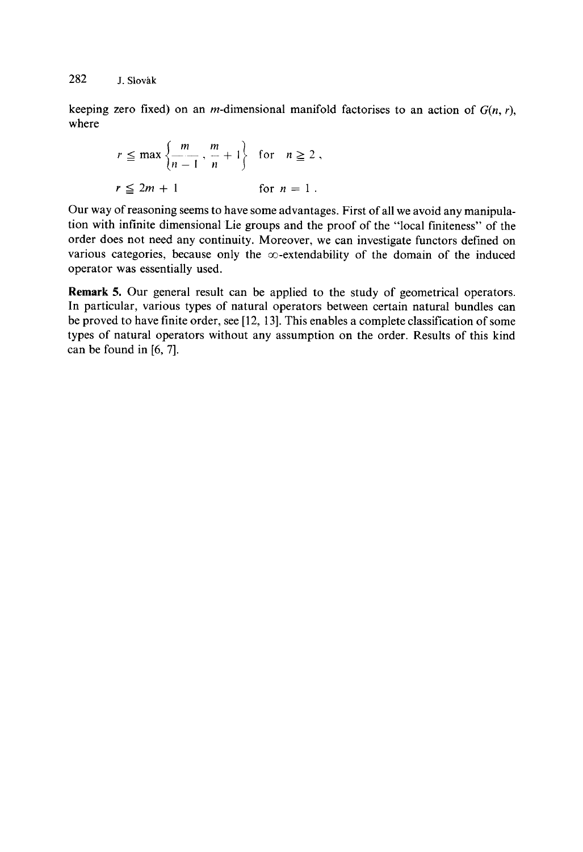keeping zero fixed) on an *m*-dimensional manifold factorises to an action of  $G(n, r)$ , where

$$
r \leq \max \left\{ \frac{m}{n-1}, \frac{m}{n} + 1 \right\} \quad \text{for} \quad n \geq 2,
$$
  

$$
r \leq 2m + 1 \qquad \text{for} \quad n = 1.
$$

Our way of reasoning seems to have some advantages. First of all we avoid any manipulation with infinite dimensional Lie groups and the proof of the "local finiteness" of the order does not need any continuity. Moreover, we can investigate functors defined on various categories, because only the  $\infty$ -extendability of the domain of the induced operator was essentially used.

**Remark** 5. Our general result can be applied to the study of geometrical operators. In particular, various types of natural operators between certain natural bundles can be proved to have finite order, see [12, 13]. This enables a complete classification of some types of natural operators without any assumption on the order. Results of this kind can be found in [6, 7].